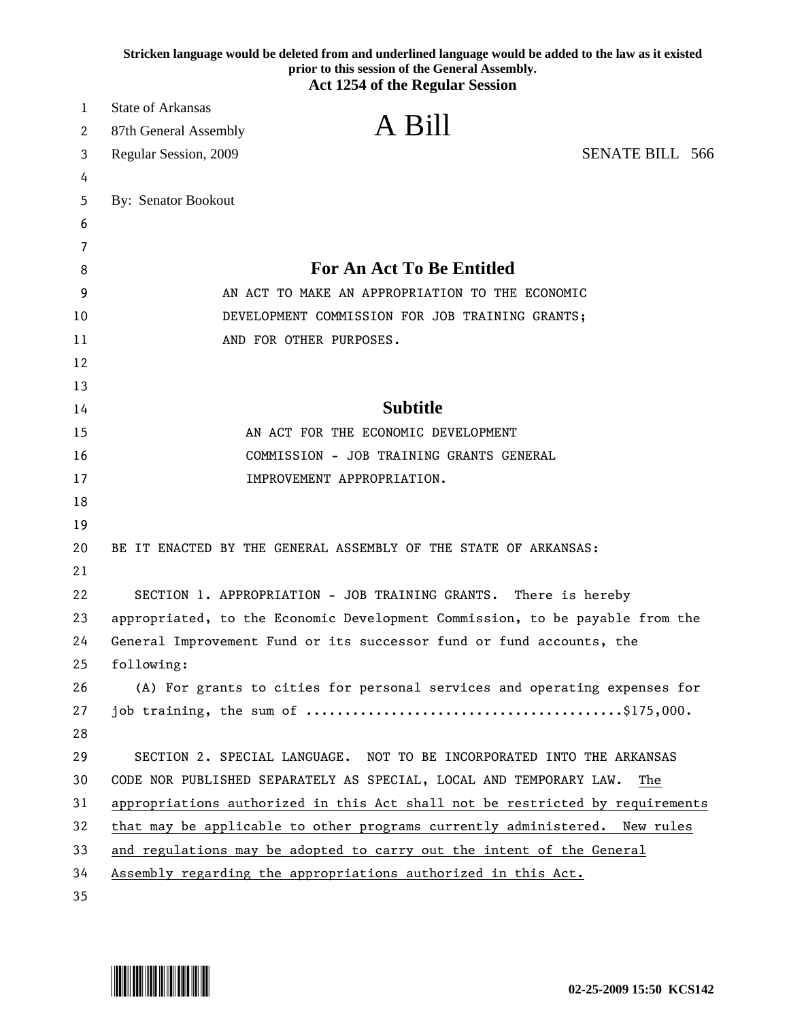|        | Stricken language would be deleted from and underlined language would be added to the law as it existed<br>prior to this session of the General Assembly. |
|--------|-----------------------------------------------------------------------------------------------------------------------------------------------------------|
|        | <b>Act 1254 of the Regular Session</b>                                                                                                                    |
| 1      | <b>State of Arkansas</b>                                                                                                                                  |
| 2      | A Bill<br>87th General Assembly                                                                                                                           |
| 3      | <b>SENATE BILL 566</b><br>Regular Session, 2009                                                                                                           |
| 4      |                                                                                                                                                           |
| 5      | By: Senator Bookout                                                                                                                                       |
| 6      |                                                                                                                                                           |
| 7<br>8 | <b>For An Act To Be Entitled</b>                                                                                                                          |
| 9      | AN ACT TO MAKE AN APPROPRIATION TO THE ECONOMIC                                                                                                           |
| 10     |                                                                                                                                                           |
| 11     | DEVELOPMENT COMMISSION FOR JOB TRAINING GRANTS;<br>AND FOR OTHER PURPOSES.                                                                                |
| 12     |                                                                                                                                                           |
| 13     |                                                                                                                                                           |
| 14     | <b>Subtitle</b>                                                                                                                                           |
| 15     | AN ACT FOR THE ECONOMIC DEVELOPMENT                                                                                                                       |
| 16     | COMMISSION - JOB TRAINING GRANTS GENERAL                                                                                                                  |
| 17     | IMPROVEMENT APPROPRIATION.                                                                                                                                |
| 18     |                                                                                                                                                           |
| 19     |                                                                                                                                                           |
| 20     | BE IT ENACTED BY THE GENERAL ASSEMBLY OF THE STATE OF ARKANSAS:                                                                                           |
| 21     |                                                                                                                                                           |
| 22     | SECTION 1. APPROPRIATION - JOB TRAINING GRANTS. There is hereby                                                                                           |
| 23     | appropriated, to the Economic Development Commission, to be payable from the                                                                              |
| 24     | General Improvement Fund or its successor fund or fund accounts, the                                                                                      |
| 25     | following:                                                                                                                                                |
| 26     | (A) For grants to cities for personal services and operating expenses for                                                                                 |
| 27     |                                                                                                                                                           |
| 28     |                                                                                                                                                           |
| 29     | SECTION 2. SPECIAL LANGUAGE. NOT TO BE INCORPORATED INTO THE ARKANSAS                                                                                     |
| 30     | CODE NOR PUBLISHED SEPARATELY AS SPECIAL, LOCAL AND TEMPORARY LAW.<br>The                                                                                 |
| 31     | appropriations authorized in this Act shall not be restricted by requirements                                                                             |
| 32     | that may be applicable to other programs currently administered. New rules                                                                                |
| 33     | and regulations may be adopted to carry out the intent of the General                                                                                     |
| 34     | Assembly regarding the appropriations authorized in this Act.                                                                                             |
| 35     |                                                                                                                                                           |

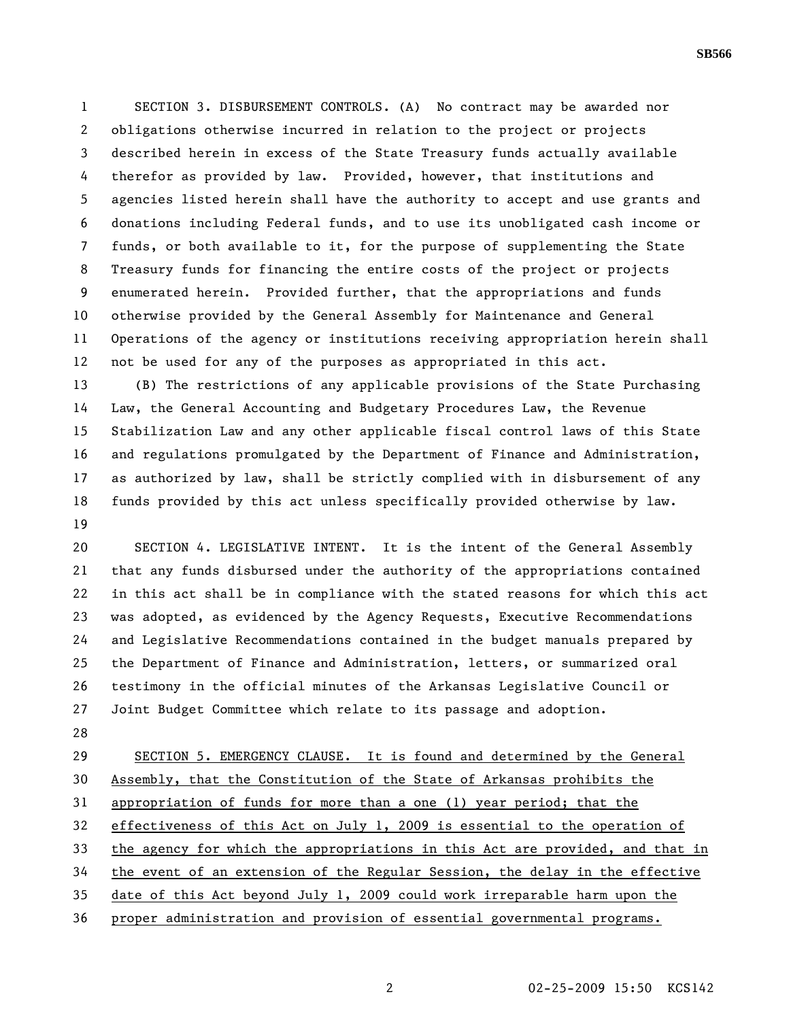1 SECTION 3. DISBURSEMENT CONTROLS. (A) No contract may be awarded nor 2 obligations otherwise incurred in relation to the project or projects 3 described herein in excess of the State Treasury funds actually available 4 therefor as provided by law. Provided, however, that institutions and 5 agencies listed herein shall have the authority to accept and use grants and 6 donations including Federal funds, and to use its unobligated cash income or 7 funds, or both available to it, for the purpose of supplementing the State 8 Treasury funds for financing the entire costs of the project or projects 9 enumerated herein. Provided further, that the appropriations and funds 10 otherwise provided by the General Assembly for Maintenance and General 11 Operations of the agency or institutions receiving appropriation herein shall 12 not be used for any of the purposes as appropriated in this act.

13 (B) The restrictions of any applicable provisions of the State Purchasing 14 Law, the General Accounting and Budgetary Procedures Law, the Revenue 15 Stabilization Law and any other applicable fiscal control laws of this State 16 and regulations promulgated by the Department of Finance and Administration, 17 as authorized by law, shall be strictly complied with in disbursement of any 18 funds provided by this act unless specifically provided otherwise by law. 19

20 SECTION 4. LEGISLATIVE INTENT. It is the intent of the General Assembly 21 that any funds disbursed under the authority of the appropriations contained 22 in this act shall be in compliance with the stated reasons for which this act 23 was adopted, as evidenced by the Agency Requests, Executive Recommendations 24 and Legislative Recommendations contained in the budget manuals prepared by 25 the Department of Finance and Administration, letters, or summarized oral 26 testimony in the official minutes of the Arkansas Legislative Council or 27 Joint Budget Committee which relate to its passage and adoption.

28

29 SECTION 5. EMERGENCY CLAUSE. It is found and determined by the General 30 Assembly, that the Constitution of the State of Arkansas prohibits the 31 appropriation of funds for more than a one (1) year period; that the 32 effectiveness of this Act on July 1, 2009 is essential to the operation of 33 the agency for which the appropriations in this Act are provided, and that in 34 the event of an extension of the Regular Session, the delay in the effective 35 date of this Act beyond July 1, 2009 could work irreparable harm upon the 36 proper administration and provision of essential governmental programs.